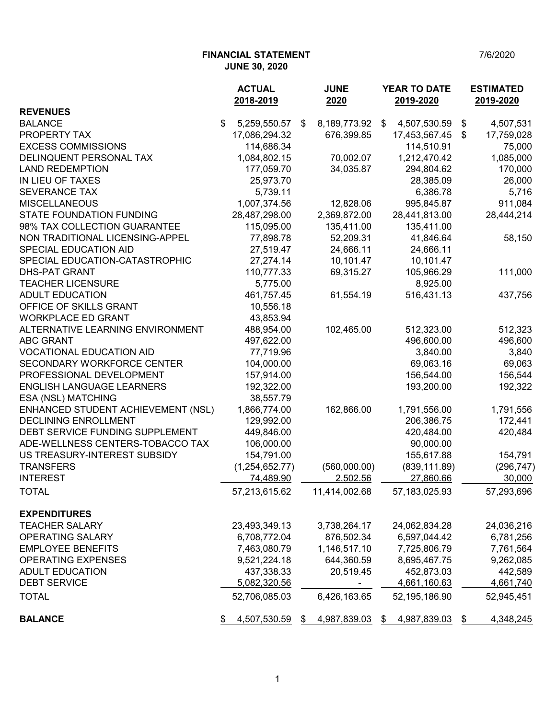## **FINANCIAL STATEMENT** 7/6/2020 **JUNE 30, 2020**

|                                    | <b>ACTUAL</b><br>2018-2019 | <b>JUNE</b><br>2020 |    | <b>YEAR TO DATE</b><br>2019-2020 |    | <b>ESTIMATED</b><br>2019-2020 |  |
|------------------------------------|----------------------------|---------------------|----|----------------------------------|----|-------------------------------|--|
| <b>REVENUES</b>                    |                            |                     |    |                                  |    |                               |  |
| <b>BALANCE</b>                     | \$<br>5,259,550.57         | \$<br>8,189,773.92  | \$ | 4,507,530.59                     | \$ | 4,507,531                     |  |
| PROPERTY TAX                       | 17,086,294.32              | 676,399.85          |    | 17,453,567.45                    | \$ | 17,759,028                    |  |
| <b>EXCESS COMMISSIONS</b>          | 114,686.34                 |                     |    | 114,510.91                       |    | 75,000                        |  |
| DELINQUENT PERSONAL TAX            | 1,084,802.15               | 70,002.07           |    | 1,212,470.42                     |    | 1,085,000                     |  |
| <b>LAND REDEMPTION</b>             | 177,059.70                 | 34,035.87           |    | 294,804.62                       |    | 170,000                       |  |
| IN LIEU OF TAXES                   | 25,973.70                  |                     |    | 28,385.09                        |    | 26,000                        |  |
| <b>SEVERANCE TAX</b>               | 5,739.11                   |                     |    | 6,386.78                         |    | 5,716                         |  |
| <b>MISCELLANEOUS</b>               | 1,007,374.56               | 12,828.06           |    | 995,845.87                       |    | 911,084                       |  |
| <b>STATE FOUNDATION FUNDING</b>    | 28,487,298.00              | 2,369,872.00        |    | 28,441,813.00                    |    | 28,444,214                    |  |
| 98% TAX COLLECTION GUARANTEE       | 115,095.00                 | 135,411.00          |    | 135,411.00                       |    |                               |  |
| NON TRADITIONAL LICENSING-APPEL    | 77,898.78                  | 52,209.31           |    | 41,846.64                        |    | 58,150                        |  |
| SPECIAL EDUCATION AID              | 27,519.47                  | 24,666.11           |    | 24,666.11                        |    |                               |  |
| SPECIAL EDUCATION-CATASTROPHIC     | 27,274.14                  | 10,101.47           |    | 10,101.47                        |    |                               |  |
| <b>DHS-PAT GRANT</b>               | 110,777.33                 | 69,315.27           |    | 105,966.29                       |    | 111,000                       |  |
| <b>TEACHER LICENSURE</b>           | 5,775.00                   |                     |    | 8,925.00                         |    |                               |  |
| <b>ADULT EDUCATION</b>             | 461,757.45                 | 61,554.19           |    | 516,431.13                       |    | 437,756                       |  |
| OFFICE OF SKILLS GRANT             | 10,556.18                  |                     |    |                                  |    |                               |  |
| <b>WORKPLACE ED GRANT</b>          | 43,853.94                  |                     |    |                                  |    |                               |  |
| ALTERNATIVE LEARNING ENVIRONMENT   | 488,954.00                 | 102,465.00          |    | 512,323.00                       |    | 512,323                       |  |
| <b>ABC GRANT</b>                   | 497,622.00                 |                     |    | 496,600.00                       |    | 496,600                       |  |
| <b>VOCATIONAL EDUCATION AID</b>    | 77,719.96                  |                     |    | 3,840.00                         |    | 3,840                         |  |
| SECONDARY WORKFORCE CENTER         | 104,000.00                 |                     |    | 69,063.16                        |    | 69,063                        |  |
| PROFESSIONAL DEVELOPMENT           | 157,914.00                 |                     |    | 156,544.00                       |    | 156,544                       |  |
| ENGLISH LANGUAGE LEARNERS          | 192,322.00                 |                     |    | 193,200.00                       |    | 192,322                       |  |
| ESA (NSL) MATCHING                 | 38,557.79                  |                     |    |                                  |    |                               |  |
| ENHANCED STUDENT ACHIEVEMENT (NSL) | 1,866,774.00               | 162,866.00          |    | 1,791,556.00                     |    | 1,791,556                     |  |
| DECLINING ENROLLMENT               | 129,992.00                 |                     |    | 206,386.75                       |    | 172,441                       |  |
| DEBT SERVICE FUNDING SUPPLEMENT    | 449,846.00                 |                     |    | 420,484.00                       |    | 420,484                       |  |
| ADE-WELLNESS CENTERS-TOBACCO TAX   | 106,000.00                 |                     |    | 90,000.00                        |    |                               |  |
| US TREASURY-INTEREST SUBSIDY       | 154,791.00                 |                     |    | 155,617.88                       |    | 154,791                       |  |
| <b>TRANSFERS</b>                   | (1, 254, 652.77)           | (560,000.00)        |    | (839, 111.89)                    |    | (296, 747)                    |  |
| <b>INTEREST</b>                    | 74,489.90                  | 2,502.56            |    | 27,860.66                        |    | 30,000                        |  |
| <b>TOTAL</b>                       | 57,213,615.62              | 11,414,002.68       |    | 57, 183, 025. 93                 |    | 57,293,696                    |  |
| <b>EXPENDITURES</b>                |                            |                     |    |                                  |    |                               |  |
| <b>TEACHER SALARY</b>              | 23,493,349.13              | 3,738,264.17        |    | 24,062,834.28                    |    | 24,036,216                    |  |
| OPERATING SALARY                   | 6,708,772.04               | 876,502.34          |    | 6,597,044.42                     |    | 6,781,256                     |  |
| <b>EMPLOYEE BENEFITS</b>           | 7,463,080.79               | 1,146,517.10        |    | 7,725,806.79                     |    | 7,761,564                     |  |
| <b>OPERATING EXPENSES</b>          | 9,521,224.18               | 644,360.59          |    | 8,695,467.75                     |    | 9,262,085                     |  |
| <b>ADULT EDUCATION</b>             | 437,338.33                 | 20,519.45           |    | 452,873.03                       |    | 442,589                       |  |
| <b>DEBT SERVICE</b>                | 5,082,320.56               |                     |    | 4,661,160.63                     |    | 4,661,740                     |  |
| <b>TOTAL</b>                       | 52,706,085.03              | 6,426,163.65        |    | 52,195,186.90                    |    | 52,945,451                    |  |
| <b>BALANCE</b>                     | 4,507,530.59               | \$<br>4,987,839.03  | \$ | 4,987,839.03                     | \$ | 4,348,245                     |  |
|                                    |                            |                     |    |                                  |    |                               |  |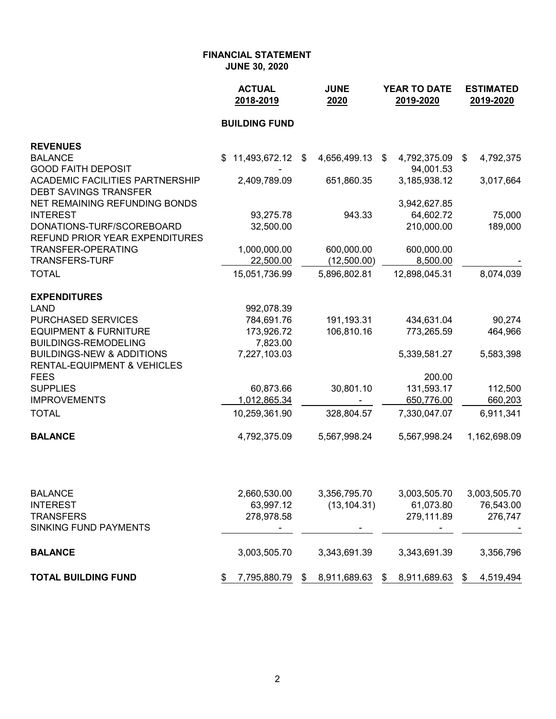|                                                                                | <b>ACTUAL</b><br>2018-2019 |                           | <b>JUNE</b><br>2020          | <b>YEAR TO DATE</b><br>2019-2020 |                           |    | <b>ESTIMATED</b><br>2019-2020 |  |
|--------------------------------------------------------------------------------|----------------------------|---------------------------|------------------------------|----------------------------------|---------------------------|----|-------------------------------|--|
|                                                                                | <b>BUILDING FUND</b>       |                           |                              |                                  |                           |    |                               |  |
| <b>REVENUES</b>                                                                |                            |                           |                              |                                  |                           |    |                               |  |
| <b>BALANCE</b><br><b>GOOD FAITH DEPOSIT</b>                                    | 11,493,672.12              | $\boldsymbol{\mathsf{S}}$ | 4,656,499.13                 | \$                               | 4,792,375.09<br>94,001.53 | \$ | 4,792,375                     |  |
| <b>ACADEMIC FACILITIES PARTNERSHIP</b><br><b>DEBT SAVINGS TRANSFER</b>         | 2,409,789.09               |                           | 651,860.35                   |                                  | 3,185,938.12              |    | 3,017,664                     |  |
| NET REMAINING REFUNDING BONDS                                                  |                            |                           |                              |                                  | 3,942,627.85              |    |                               |  |
| <b>INTEREST</b>                                                                | 93,275.78                  |                           | 943.33                       |                                  | 64,602.72                 |    | 75,000                        |  |
| DONATIONS-TURF/SCOREBOARD<br>REFUND PRIOR YEAR EXPENDITURES                    | 32,500.00                  |                           |                              |                                  | 210,000.00                |    | 189,000                       |  |
| <b>TRANSFER-OPERATING</b>                                                      | 1,000,000.00               |                           | 600,000.00                   |                                  | 600,000.00                |    |                               |  |
| <b>TRANSFERS-TURF</b>                                                          | 22,500.00                  |                           | (12,500.00)                  |                                  | 8,500.00                  |    |                               |  |
| <b>TOTAL</b>                                                                   | 15,051,736.99              |                           | 5,896,802.81                 |                                  | 12,898,045.31             |    | 8,074,039                     |  |
| <b>EXPENDITURES</b>                                                            |                            |                           |                              |                                  |                           |    |                               |  |
| <b>LAND</b>                                                                    | 992,078.39                 |                           |                              |                                  |                           |    |                               |  |
| <b>PURCHASED SERVICES</b>                                                      | 784,691.76                 |                           | 191,193.31                   |                                  | 434,631.04                |    | 90,274                        |  |
| <b>EQUIPMENT &amp; FURNITURE</b>                                               | 173,926.72                 |                           | 106,810.16                   |                                  | 773,265.59                |    | 464,966                       |  |
| <b>BUILDINGS-REMODELING</b>                                                    | 7,823.00                   |                           |                              |                                  |                           |    |                               |  |
| <b>BUILDINGS-NEW &amp; ADDITIONS</b><br><b>RENTAL-EQUIPMENT &amp; VEHICLES</b> | 7,227,103.03               |                           |                              |                                  | 5,339,581.27              |    | 5,583,398                     |  |
| <b>FEES</b>                                                                    |                            |                           |                              |                                  | 200.00                    |    |                               |  |
| <b>SUPPLIES</b>                                                                | 60,873.66                  |                           | 30,801.10                    |                                  | 131,593.17                |    | 112,500                       |  |
| <b>IMPROVEMENTS</b>                                                            | 1,012,865.34               |                           |                              |                                  | 650,776.00                |    | 660,203                       |  |
| <b>TOTAL</b>                                                                   | 10,259,361.90              |                           | 328,804.57                   |                                  | 7,330,047.07              |    | 6,911,341                     |  |
| <b>BALANCE</b>                                                                 | 4,792,375.09               |                           | 5,567,998.24                 |                                  | 5,567,998.24              |    | 1,162,698.09                  |  |
| <b>BALANCE</b>                                                                 |                            |                           |                              |                                  |                           |    |                               |  |
| <b>INTEREST</b>                                                                | 2,660,530.00<br>63,997.12  |                           | 3,356,795.70<br>(13, 104.31) |                                  | 3,003,505.70<br>61,073.80 |    | 3,003,505.70<br>76,543.00     |  |
| <b>TO ANOFFDO</b>                                                              | 270.270.50                 |                           |                              |                                  | 270.444.00                |    | 270.717                       |  |

| <b>TRANSFERS</b><br>SINKING FUND PAYMENTS |  | 278,978.58<br>$\overline{\phantom{0}}$ |    | $\overline{\phantom{0}}$ | 279,111.89<br>$\overline{\phantom{a}}$ |                 |  | 276,747   |
|-------------------------------------------|--|----------------------------------------|----|--------------------------|----------------------------------------|-----------------|--|-----------|
| <b>BALANCE</b>                            |  | 3.003.505.70                           |    | 3.343.691.39             |                                        | 3.343.691.39    |  | 3,356,796 |
| <b>TOTAL BUILDING FUND</b>                |  | 7,795,880.79                           | S. | 8,911,689.63             |                                        | \$ 8,911,689.63 |  | 4,519,494 |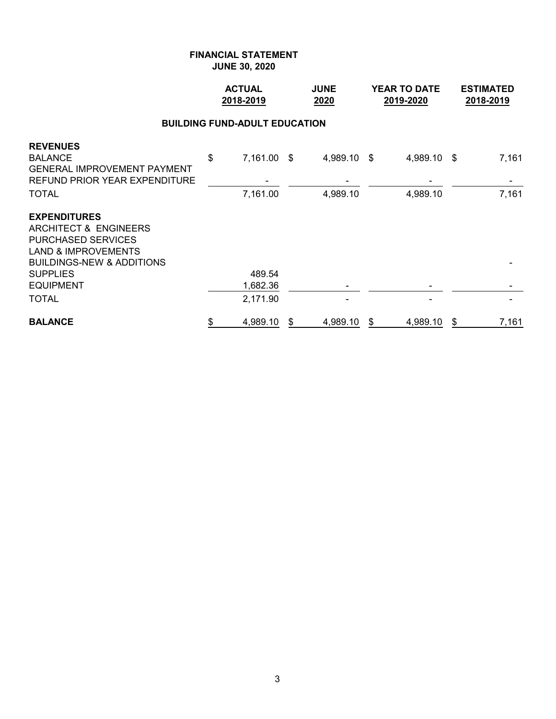|                                                                                                                                                                                            | <b>ACTUAL</b><br>2018-2019 |                         |    | <b>JUNE</b><br>2020     |    | <b>YEAR TO DATE</b><br>2019-2020 |    | <b>ESTIMATED</b><br>2018-2019 |  |  |  |  |  |  |
|--------------------------------------------------------------------------------------------------------------------------------------------------------------------------------------------|----------------------------|-------------------------|----|-------------------------|----|----------------------------------|----|-------------------------------|--|--|--|--|--|--|
| <b>BUILDING FUND-ADULT EDUCATION</b>                                                                                                                                                       |                            |                         |    |                         |    |                                  |    |                               |  |  |  |  |  |  |
| <b>REVENUES</b><br><b>BALANCE</b><br><b>GENERAL IMPROVEMENT PAYMENT</b><br>REFUND PRIOR YEAR EXPENDITURE<br><b>TOTAL</b>                                                                   | \$                         | 7,161.00 \$<br>7,161.00 |    | 4,989.10 \$<br>4,989.10 |    | 4,989.10 \$<br>4,989.10          |    | 7,161<br>7,161                |  |  |  |  |  |  |
| <b>EXPENDITURES</b><br>ARCHITECT & ENGINEERS<br><b>PURCHASED SERVICES</b><br><b>LAND &amp; IMPROVEMENTS</b><br><b>BUILDINGS-NEW &amp; ADDITIONS</b><br><b>SUPPLIES</b><br><b>EQUIPMENT</b> |                            | 489.54<br>1,682.36      |    |                         |    |                                  |    |                               |  |  |  |  |  |  |
| <b>TOTAL</b>                                                                                                                                                                               |                            | 2,171.90                |    |                         |    |                                  |    |                               |  |  |  |  |  |  |
| <b>BALANCE</b>                                                                                                                                                                             | \$                         | 4,989.10                | \$ | 4,989.10                | \$ | 4,989.10                         | \$ | 7,161                         |  |  |  |  |  |  |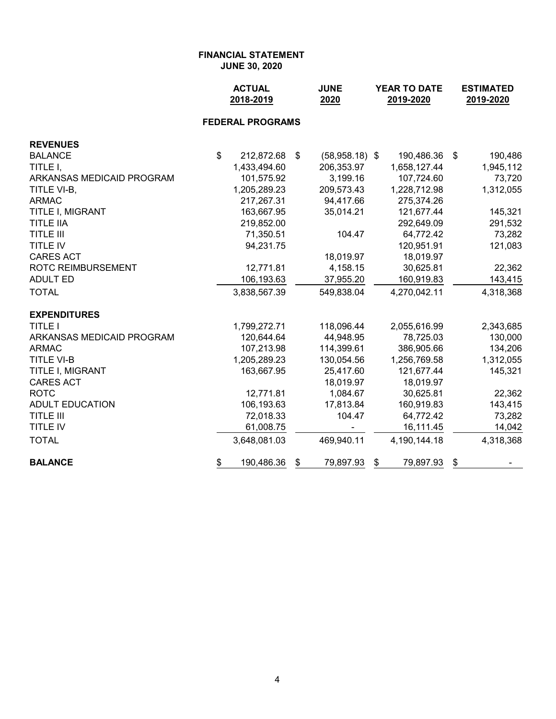|                           | <b>ACTUAL</b><br>2018-2019 | <b>JUNE</b><br>2020    | YEAR TO DATE<br>2019-2020 | <b>ESTIMATED</b><br>2019-2020 |  |  |
|---------------------------|----------------------------|------------------------|---------------------------|-------------------------------|--|--|
|                           | <b>FEDERAL PROGRAMS</b>    |                        |                           |                               |  |  |
| <b>REVENUES</b>           |                            |                        |                           |                               |  |  |
| <b>BALANCE</b>            | \$<br>212,872.68           | \$<br>$(58,958.18)$ \$ | 190,486.36                | 190,486<br>\$                 |  |  |
| TITLE I,                  | 1,433,494.60               | 206,353.97             | 1,658,127.44              | 1,945,112                     |  |  |
| ARKANSAS MEDICAID PROGRAM | 101,575.92                 | 3,199.16               | 107,724.60                | 73,720                        |  |  |
| TITLE VI-B,               | 1,205,289.23               | 209,573.43             | 1,228,712.98              | 1,312,055                     |  |  |
| <b>ARMAC</b>              | 217,267.31                 | 94,417.66              | 275,374.26                |                               |  |  |
| TITLE I, MIGRANT          | 163,667.95                 | 35,014.21              | 121,677.44                | 145,321                       |  |  |
| <b>TITLE IIA</b>          | 219,852.00                 |                        | 292,649.09                | 291,532                       |  |  |
| <b>TITLE III</b>          | 71,350.51                  | 104.47                 | 64,772.42                 | 73,282                        |  |  |
| <b>TITLE IV</b>           | 94,231.75                  |                        | 120,951.91                | 121,083                       |  |  |
| <b>CARES ACT</b>          |                            | 18,019.97              | 18,019.97                 |                               |  |  |
| <b>ROTC REIMBURSEMENT</b> | 12,771.81                  | 4,158.15               | 30,625.81                 | 22,362                        |  |  |
| <b>ADULT ED</b>           | 106,193.63                 | 37,955.20              | 160,919.83                | 143,415                       |  |  |
| <b>TOTAL</b>              | 3,838,567.39               | 549,838.04             | 4,270,042.11              | 4,318,368                     |  |  |
| <b>EXPENDITURES</b>       |                            |                        |                           |                               |  |  |
| <b>TITLE I</b>            | 1,799,272.71               | 118,096.44             | 2,055,616.99              | 2,343,685                     |  |  |
| ARKANSAS MEDICAID PROGRAM | 120,644.64                 | 44,948.95              | 78,725.03                 | 130,000                       |  |  |
| <b>ARMAC</b>              | 107,213.98                 | 114,399.61             | 386,905.66                | 134,206                       |  |  |
| <b>TITLE VI-B</b>         | 1,205,289.23               | 130,054.56             | 1,256,769.58              | 1,312,055                     |  |  |
| TITLE I, MIGRANT          | 163,667.95                 | 25,417.60              | 121,677.44                | 145,321                       |  |  |
| <b>CARES ACT</b>          |                            | 18,019.97              | 18,019.97                 |                               |  |  |
| <b>ROTC</b>               | 12,771.81                  | 1,084.67               | 30,625.81                 | 22,362                        |  |  |
| <b>ADULT EDUCATION</b>    | 106,193.63                 | 17,813.84              | 160,919.83                | 143,415                       |  |  |
| <b>TITLE III</b>          | 72,018.33                  | 104.47                 | 64,772.42                 | 73,282                        |  |  |
| <b>TITLE IV</b>           | 61,008.75                  |                        | 16,111.45                 | 14,042                        |  |  |
| <b>TOTAL</b>              | 3,648,081.03               | 469,940.11             | 4,190,144.18              | 4,318,368                     |  |  |
| <b>BALANCE</b>            | \$<br>190,486.36           | 79,897.93<br>\$        | \$<br>79,897.93           | \$                            |  |  |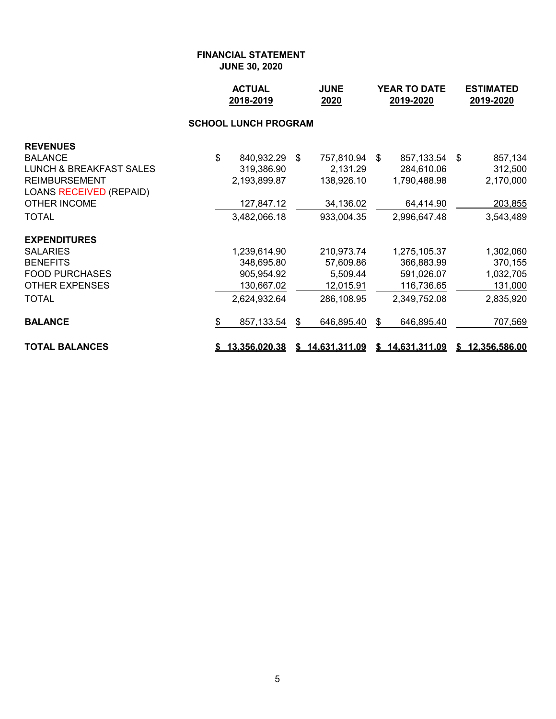|                                    | <b>ACTUAL</b><br>2018-2019 |                             | <b>JUNE</b><br>2020 | <b>YEAR TO DATE</b><br>2019-2020 |    |                 | <b>ESTIMATED</b><br>2019-2020 |                 |  |
|------------------------------------|----------------------------|-----------------------------|---------------------|----------------------------------|----|-----------------|-------------------------------|-----------------|--|
|                                    |                            | <b>SCHOOL LUNCH PROGRAM</b> |                     |                                  |    |                 |                               |                 |  |
| <b>REVENUES</b>                    |                            |                             |                     |                                  |    |                 |                               |                 |  |
| <b>BALANCE</b>                     | \$                         | 840,932.29 \$               |                     | 757,810.94                       | \$ | 857,133.54      | \$                            | 857,134         |  |
| <b>LUNCH &amp; BREAKFAST SALES</b> |                            | 319,386.90                  |                     | 2,131.29                         |    | 284,610.06      |                               | 312,500         |  |
| <b>REIMBURSEMENT</b>               |                            | 2,193,899.87                |                     | 138,926.10                       |    | 1,790,488.98    |                               | 2,170,000       |  |
| <b>LOANS RECEIVED (REPAID)</b>     |                            |                             |                     |                                  |    |                 |                               |                 |  |
| OTHER INCOME                       |                            | 127,847.12                  |                     | 34,136.02                        |    | 64,414.90       |                               | 203,855         |  |
| <b>TOTAL</b>                       |                            | 3,482,066.18                |                     | 933,004.35                       |    | 2,996,647.48    |                               | 3,543,489       |  |
| <b>EXPENDITURES</b>                |                            |                             |                     |                                  |    |                 |                               |                 |  |
| <b>SALARIES</b>                    |                            | 1,239,614.90                |                     | 210,973.74                       |    | 1,275,105.37    |                               | 1,302,060       |  |
| <b>BENEFITS</b>                    |                            | 348,695.80                  |                     | 57,609.86                        |    | 366,883.99      |                               | 370,155         |  |
| <b>FOOD PURCHASES</b>              |                            | 905,954.92                  |                     | 5,509.44                         |    | 591,026.07      |                               | 1,032,705       |  |
| <b>OTHER EXPENSES</b>              |                            | 130,667.02                  |                     | 12,015.91                        |    | 116,736.65      |                               | 131,000         |  |
| <b>TOTAL</b>                       |                            | 2,624,932.64                |                     | 286,108.95                       |    | 2,349,752.08    |                               | 2,835,920       |  |
| <b>BALANCE</b>                     | \$                         | 857,133.54                  | \$                  | 646,895.40                       | \$ | 646,895.40      |                               | 707,569         |  |
| <b>TOTAL BALANCES</b>              |                            | \$13,356,020.38             |                     | \$14,631,311.09                  |    | \$14,631,311.09 |                               | \$12,356,586.00 |  |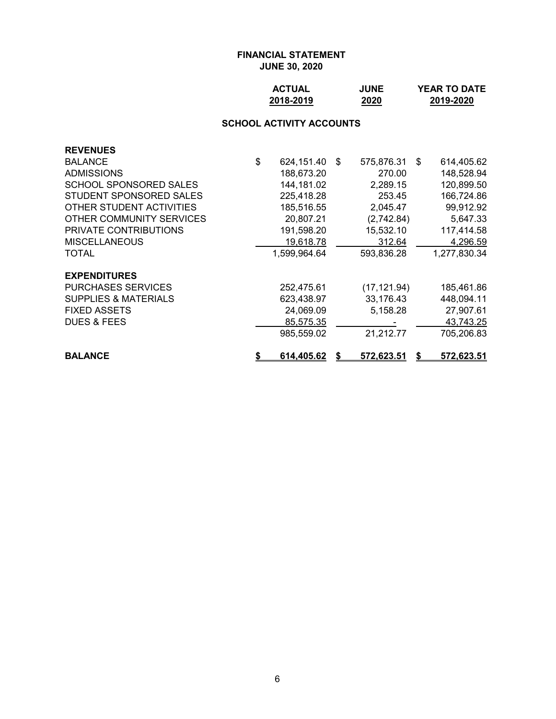| <b>ACTUAL</b> | <b>JUNE</b> | <b>YEAR TO DATE</b> |
|---------------|-------------|---------------------|
| 2018-2019     | 2020        | 2019-2020           |

# **SCHOOL ACTIVITY ACCOUNTS**

| <b>REVENUES</b>                 |    |               |                   |      |                   |
|---------------------------------|----|---------------|-------------------|------|-------------------|
| <b>BALANCE</b>                  | \$ | 624,151.40 \$ | 575,876.31        | - \$ | 614,405.62        |
| <b>ADMISSIONS</b>               |    | 188,673.20    | 270.00            |      | 148,528.94        |
| <b>SCHOOL SPONSORED SALES</b>   |    | 144, 181.02   | 2,289.15          |      | 120,899.50        |
| STUDENT SPONSORED SALES         |    | 225,418.28    | 253.45            |      | 166,724.86        |
| OTHER STUDENT ACTIVITIES        |    | 185,516.55    | 2,045.47          |      | 99,912.92         |
| OTHER COMMUNITY SERVICES        |    | 20,807.21     | (2,742.84)        |      | 5,647.33          |
| PRIVATE CONTRIBUTIONS           |    | 191,598.20    | 15,532.10         |      | 117,414.58        |
| <b>MISCELLANEOUS</b>            |    | 19,618.78     | 312.64            |      | 4,296.59          |
| <b>TOTAL</b>                    |    | 1,599,964.64  | 593,836.28        |      | 1,277,830.34      |
| <b>EXPENDITURES</b>             |    |               |                   |      |                   |
| <b>PURCHASES SERVICES</b>       |    | 252,475.61    | (17, 121.94)      |      | 185,461.86        |
| <b>SUPPLIES &amp; MATERIALS</b> |    | 623,438.97    | 33,176.43         |      | 448,094.11        |
| <b>FIXED ASSETS</b>             |    | 24,069.09     | 5,158.28          |      | 27,907.61         |
| <b>DUES &amp; FEES</b>          |    | 85,575.35     |                   |      | 43,743.25         |
|                                 |    | 985,559.02    | 21,212.77         |      | 705,206.83        |
| <b>BALANCE</b>                  | 55 | 614,405.62    | <u>572,623.51</u> | S    | <u>572,623.51</u> |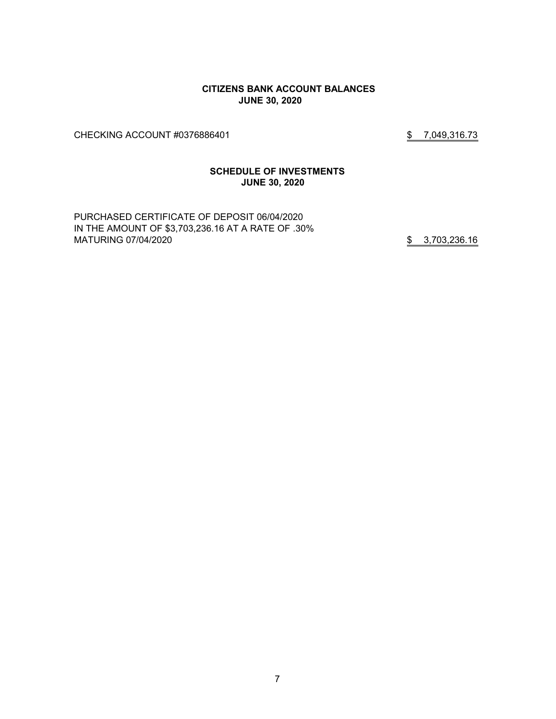#### **CITIZENS BANK ACCOUNT BALANCES JUNE 30, 2020**

CHECKING ACCOUNT #0376886401 \$7,049,316.73

#### **SCHEDULE OF INVESTMENTS JUNE 30, 2020**

PURCHASED CERTIFICATE OF DEPOSIT 06/04/2020 IN THE AMOUNT OF \$3,703,236.16 AT A RATE OF .30% MATURING 07/04/2020 **\$** 3,703,236.16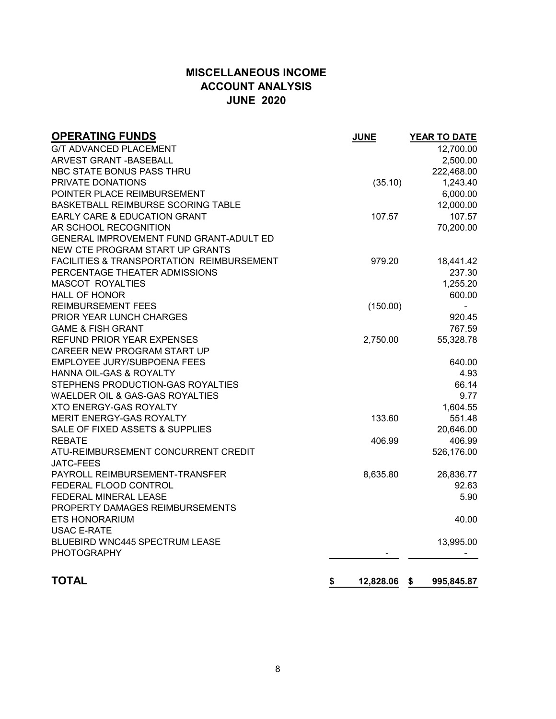# **MISCELLANEOUS INCOME ACCOUNT ANALYSIS JUNE 2020**

| <b>OPERATING FUNDS</b>                               | <b>JUNE</b>     | <b>YEAR TO DATE</b> |
|------------------------------------------------------|-----------------|---------------------|
| <b>G/T ADVANCED PLACEMENT</b>                        |                 | 12,700.00           |
| ARVEST GRANT - BASEBALL                              |                 | 2,500.00            |
| NBC STATE BONUS PASS THRU                            |                 | 222,468.00          |
| PRIVATE DONATIONS                                    | (35.10)         | 1,243.40            |
| POINTER PLACE REIMBURSEMENT                          |                 | 6,000.00            |
| BASKETBALL REIMBURSE SCORING TABLE                   |                 | 12,000.00           |
| EARLY CARE & EDUCATION GRANT                         | 107.57          | 107.57              |
| AR SCHOOL RECOGNITION                                |                 | 70,200.00           |
| GENERAL IMPROVEMENT FUND GRANT-ADULT ED              |                 |                     |
| NEW CTE PROGRAM START UP GRANTS                      |                 |                     |
| <b>FACILITIES &amp; TRANSPORTATION REIMBURSEMENT</b> | 979.20          | 18,441.42           |
| PERCENTAGE THEATER ADMISSIONS                        |                 | 237.30              |
| <b>MASCOT ROYALTIES</b>                              |                 | 1,255.20            |
| <b>HALL OF HONOR</b>                                 |                 | 600.00              |
| <b>REIMBURSEMENT FEES</b>                            | (150.00)        |                     |
| PRIOR YEAR LUNCH CHARGES                             |                 | 920.45              |
| <b>GAME &amp; FISH GRANT</b>                         |                 | 767.59              |
| <b>REFUND PRIOR YEAR EXPENSES</b>                    | 2,750.00        | 55,328.78           |
| CAREER NEW PROGRAM START UP                          |                 |                     |
| EMPLOYEE JURY/SUBPOENA FEES                          |                 | 640.00              |
| HANNA OIL-GAS & ROYALTY                              |                 | 4.93                |
| STEPHENS PRODUCTION-GAS ROYALTIES                    |                 | 66.14               |
| WAELDER OIL & GAS-GAS ROYALTIES                      |                 | 9.77                |
| <b>XTO ENERGY-GAS ROYALTY</b>                        |                 | 1,604.55            |
| MERIT ENERGY-GAS ROYALTY                             | 133.60          | 551.48              |
| SALE OF FIXED ASSETS & SUPPLIES                      |                 | 20,646.00           |
| <b>REBATE</b>                                        | 406.99          | 406.99              |
| ATU-REIMBURSEMENT CONCURRENT CREDIT                  |                 | 526,176.00          |
| <b>JATC-FEES</b>                                     |                 |                     |
| PAYROLL REIMBURSEMENT-TRANSFER                       | 8,635.80        | 26,836.77           |
| FEDERAL FLOOD CONTROL                                |                 | 92.63               |
| FEDERAL MINERAL LEASE                                |                 | 5.90                |
| PROPERTY DAMAGES REIMBURSEMENTS                      |                 |                     |
| <b>ETS HONORARIUM</b>                                |                 | 40.00               |
| <b>USAC E-RATE</b>                                   |                 |                     |
| BLUEBIRD WNC445 SPECTRUM LEASE                       |                 | 13,995.00           |
| <b>PHOTOGRAPHY</b>                                   |                 |                     |
| <b>TOTAL</b>                                         | \$<br>12,828.06 | 995,845.87<br>\$    |
|                                                      |                 |                     |